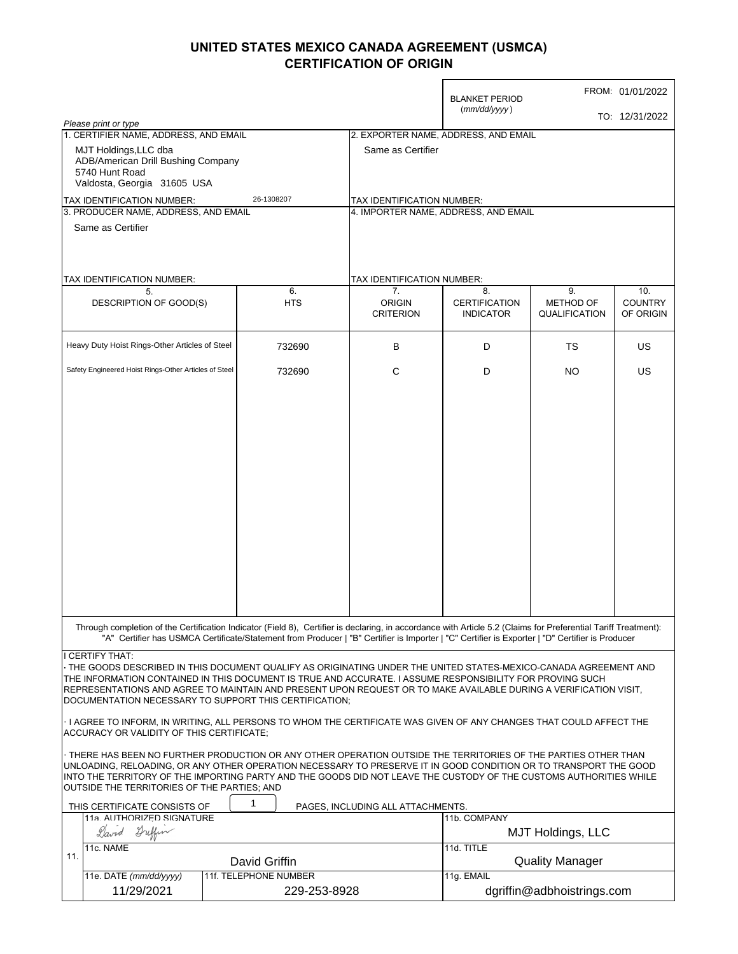## **UNITED STATES MEXICO CANADA AGREEMENT (USMCA) CERTIFICATION OF ORIGIN**

|                                                                                                                                                       |                                                                                                                                                                                                                                                                                                                                                                                                                                |            |                                      |                                                           | <b>BLANKET PERIOD</b>                          |                                                | FROM: 01/01/2022                   |
|-------------------------------------------------------------------------------------------------------------------------------------------------------|--------------------------------------------------------------------------------------------------------------------------------------------------------------------------------------------------------------------------------------------------------------------------------------------------------------------------------------------------------------------------------------------------------------------------------|------------|--------------------------------------|-----------------------------------------------------------|------------------------------------------------|------------------------------------------------|------------------------------------|
|                                                                                                                                                       |                                                                                                                                                                                                                                                                                                                                                                                                                                |            |                                      |                                                           | (mm/dd/yyyy)                                   |                                                | TO: 12/31/2022                     |
|                                                                                                                                                       | Please print or type                                                                                                                                                                                                                                                                                                                                                                                                           |            |                                      |                                                           |                                                |                                                |                                    |
| 1. CERTIFIER NAME, ADDRESS, AND EMAIL<br>MJT Holdings, LLC dba<br>ADB/American Drill Bushing Company<br>5740 Hunt Road<br>Valdosta, Georgia 31605 USA |                                                                                                                                                                                                                                                                                                                                                                                                                                |            |                                      | 2. EXPORTER NAME, ADDRESS, AND EMAIL<br>Same as Certifier |                                                |                                                |                                    |
|                                                                                                                                                       | TAX IDENTIFICATION NUMBER:                                                                                                                                                                                                                                                                                                                                                                                                     | 26-1308207 |                                      | TAX IDENTIFICATION NUMBER:                                |                                                |                                                |                                    |
|                                                                                                                                                       | 3. PRODUCER NAME, ADDRESS, AND EMAIL                                                                                                                                                                                                                                                                                                                                                                                           |            |                                      | 4. IMPORTER NAME, ADDRESS, AND EMAIL                      |                                                |                                                |                                    |
|                                                                                                                                                       | Same as Certifier                                                                                                                                                                                                                                                                                                                                                                                                              |            |                                      |                                                           |                                                |                                                |                                    |
| TAX IDENTIFICATION NUMBER:                                                                                                                            |                                                                                                                                                                                                                                                                                                                                                                                                                                |            |                                      | TAX IDENTIFICATION NUMBER:                                |                                                |                                                |                                    |
|                                                                                                                                                       | 5.<br>DESCRIPTION OF GOOD(S)                                                                                                                                                                                                                                                                                                                                                                                                   |            | 6.<br><b>HTS</b>                     | 7.<br><b>ORIGIN</b><br><b>CRITERION</b>                   | 8.<br><b>CERTIFICATION</b><br><b>INDICATOR</b> | 9.<br><b>METHOD OF</b><br><b>QUALIFICATION</b> | 10.<br><b>COUNTRY</b><br>OF ORIGIN |
|                                                                                                                                                       | Heavy Duty Hoist Rings-Other Articles of Steel                                                                                                                                                                                                                                                                                                                                                                                 |            | 732690                               | B                                                         | D                                              | TS                                             | US                                 |
|                                                                                                                                                       | Safety Engineered Hoist Rings-Other Articles of Steel                                                                                                                                                                                                                                                                                                                                                                          |            | 732690                               | C                                                         | D                                              | NO                                             | US                                 |
|                                                                                                                                                       | Through completion of the Certification Indicator (Field 8), Certifier is declaring, in accordance with Article 5.2 (Claims for Preferential Tariff Treatment):                                                                                                                                                                                                                                                                |            |                                      |                                                           |                                                |                                                |                                    |
|                                                                                                                                                       | "A" Certifier has USMCA Certificate/Statement from Producer   "B" Certifier is Importer   "C" Certifier is Exporter   "D" Certifier is Producer                                                                                                                                                                                                                                                                                |            |                                      |                                                           |                                                |                                                |                                    |
|                                                                                                                                                       | I CERTIFY THAT:<br>THE GOODS DESCRIBED IN THIS DOCUMENT QUALIFY AS ORIGINATING UNDER THE UNITED STATES-MEXICO-CANADA AGREEMENT AND<br>THE INFORMATION CONTAINED IN THIS DOCUMENT IS TRUE AND ACCURATE. I ASSUME RESPONSIBILITY FOR PROVING SUCH<br>REPRESENTATIONS AND AGREE TO MAINTAIN AND PRESENT UPON REQUEST OR TO MAKE AVAILABLE DURING A VERIFICATION VISIT,<br> DOCUMENTATION NECESSARY TO SUPPORT THIS CERTIFICATION; |            |                                      |                                                           |                                                |                                                |                                    |
|                                                                                                                                                       | I AGREE TO INFORM, IN WRITING, ALL PERSONS TO WHOM THE CERTIFICATE WAS GIVEN OF ANY CHANGES THAT COULD AFFECT THE<br>ACCURACY OR VALIDITY OF THIS CERTIFICATE;                                                                                                                                                                                                                                                                 |            |                                      |                                                           |                                                |                                                |                                    |
|                                                                                                                                                       | THERE HAS BEEN NO FURTHER PRODUCTION OR ANY OTHER OPERATION OUTSIDE THE TERRITORIES OF THE PARTIES OTHER THAN<br>UNLOADING, RELOADING, OR ANY OTHER OPERATION NECESSARY TO PRESERVE IT IN GOOD CONDITION OR TO TRANSPORT THE GOOD<br>INTO THE TERRITORY OF THE IMPORTING PARTY AND THE GOODS DID NOT LEAVE THE CUSTODY OF THE CUSTOMS AUTHORITIES WHILE<br>OUTSIDE THE TERRITORIES OF THE PARTIES; AND                         |            |                                      |                                                           |                                                |                                                |                                    |
|                                                                                                                                                       | 1<br>THIS CERTIFICATE CONSISTS OF<br>PAGES, INCLUDING ALL ATTACHMENTS.                                                                                                                                                                                                                                                                                                                                                         |            |                                      |                                                           |                                                |                                                |                                    |
|                                                                                                                                                       | 11a. AUTHORIZED SIGNATURE<br>Duffen<br>David                                                                                                                                                                                                                                                                                                                                                                                   |            |                                      |                                                           | 11b. COMPANY<br>MJT Holdings, LLC              |                                                |                                    |
| 11.                                                                                                                                                   | 11c. NAME                                                                                                                                                                                                                                                                                                                                                                                                                      |            | 11d. TITLE<br><b>Quality Manager</b> |                                                           |                                                |                                                |                                    |
|                                                                                                                                                       | David Griffin<br>11e. DATE (mm/dd/yyyy)<br>11f. TELEPHONE NUMBER                                                                                                                                                                                                                                                                                                                                                               |            |                                      |                                                           | 11g. EMAIL                                     |                                                |                                    |
|                                                                                                                                                       | 11/29/2021<br>229-253-8928                                                                                                                                                                                                                                                                                                                                                                                                     |            |                                      |                                                           | dgriffin@adbhoistrings.com                     |                                                |                                    |